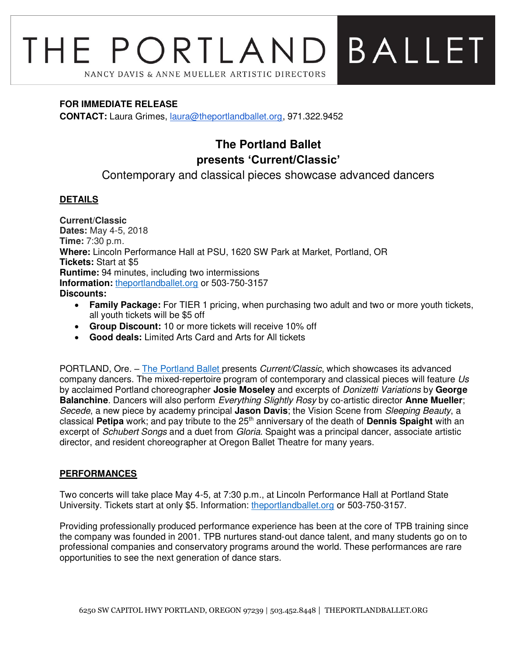# BALLET THE PORTLAND NANCY DAVIS & ANNE MUELLER ARTISTIC DIRECTORS

#### **FOR IMMEDIATE RELEASE**

**CONTACT:** Laura Grimes, [laura@theportlandballet.org,](mailto:laura@theportlandballet.org) 971.322.9452

# **The Portland Ballet presents 'Current/Classic'**

Contemporary and classical pieces showcase advanced dancers

## **DETAILS**

**Current/Classic Dates:** May 4-5, 2018 **Time:** 7:30 p.m. **Where:** Lincoln Performance Hall at PSU, 1620 SW Park at Market, Portland, OR **Tickets:** Start at \$5 **Runtime:** 94 minutes, including two intermissions **Information:** [theportlandballet.org](https://theportlandballet.org/) or 503-750-3157 **Discounts:**

- **Family Package:** For TIER 1 pricing, when purchasing two adult and two or more youth tickets, all youth tickets will be \$5 off
- **Group Discount:** 10 or more tickets will receive 10% off
- **Good deals:** Limited Arts Card and Arts for All tickets

PORTLAND, Ore. – [The Portland Ballet](http://theportlandballet.org/) presents Current/Classic, which showcases its advanced company dancers. The mixed-repertoire program of contemporary and classical pieces will feature Us by acclaimed Portland choreographer **Josie Moseley** and excerpts of Donizetti Variations by **George Balanchine**. Dancers will also perform Everything Slightly Rosy by co-artistic director **Anne Mueller**; Secede, a new piece by academy principal **Jason Davis**; the Vision Scene from Sleeping Beauty, a classical **Petipa** work; and pay tribute to the 25th anniversary of the death of **Dennis Spaight** with an excerpt of Schubert Songs and a duet from Gloria. Spaight was a principal dancer, associate artistic director, and resident choreographer at Oregon Ballet Theatre for many years.

## **PERFORMANCES**

Two concerts will take place May 4-5, at 7:30 p.m., at Lincoln Performance Hall at Portland State University. Tickets start at only \$5. Information: [theportlandballet.org](https://theportlandballet.org/) or 503-750-3157.

Providing professionally produced performance experience has been at the core of TPB training since the company was founded in 2001. TPB nurtures stand-out dance talent, and many students go on to professional companies and conservatory programs around the world. These performances are rare opportunities to see the next generation of dance stars.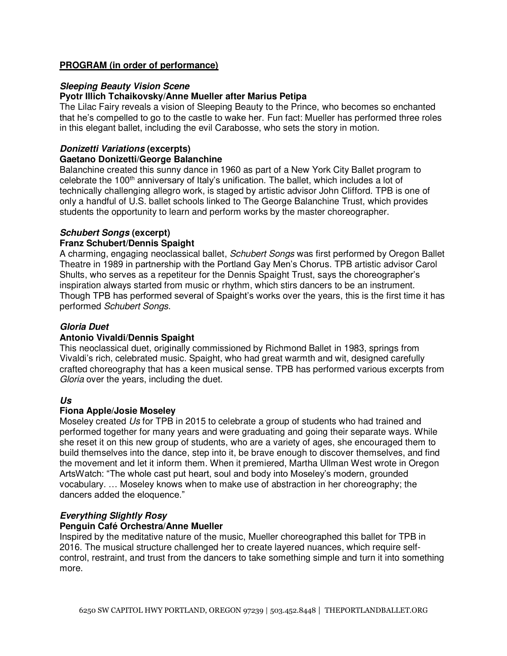#### **PROGRAM (in order of performance)**

#### **Sleeping Beauty Vision Scene Pyotr Illich Tchaikovsky/Anne Mueller after Marius Petipa**

The Lilac Fairy reveals a vision of Sleeping Beauty to the Prince, who becomes so enchanted that he's compelled to go to the castle to wake her. Fun fact: Mueller has performed three roles in this elegant ballet, including the evil Carabosse, who sets the story in motion.

#### **Donizetti Variations (excerpts) Gaetano Donizetti/George Balanchine**

Balanchine created this sunny dance in 1960 as part of a New York City Ballet program to celebrate the 100<sup>th</sup> anniversary of Italy's unification. The ballet, which includes a lot of technically challenging allegro work, is staged by artistic advisor John Clifford. TPB is one of only a handful of U.S. ballet schools linked to The George Balanchine Trust, which provides students the opportunity to learn and perform works by the master choreographer.

## **Schubert Songs (excerpt)**

#### **Franz Schubert/Dennis Spaight**

A charming, engaging neoclassical ballet, Schubert Songs was first performed by Oregon Ballet Theatre in 1989 in partnership with the Portland Gay Men's Chorus. TPB artistic advisor Carol Shults, who serves as a repetiteur for the Dennis Spaight Trust, says the choreographer's inspiration always started from music or rhythm, which stirs dancers to be an instrument. Though TPB has performed several of Spaight's works over the years, this is the first time it has performed Schubert Songs.

#### **Gloria Duet**

#### **Antonio Vivaldi/Dennis Spaight**

This neoclassical duet, originally commissioned by Richmond Ballet in 1983, springs from Vivaldi's rich, celebrated music. Spaight, who had great warmth and wit, designed carefully crafted choreography that has a keen musical sense. TPB has performed various excerpts from Gloria over the years, including the duet.

## **Us**

## **Fiona Apple/Josie Moseley**

Moseley created Us for TPB in 2015 to celebrate a group of students who had trained and performed together for many years and were graduating and going their separate ways. While she reset it on this new group of students, who are a variety of ages, she encouraged them to build themselves into the dance, step into it, be brave enough to discover themselves, and find the movement and let it inform them. When it premiered, Martha Ullman West wrote in Oregon ArtsWatch: "The whole cast put heart, soul and body into Moseley's modern, grounded vocabulary. … Moseley knows when to make use of abstraction in her choreography; the dancers added the eloquence."

## **Everything Slightly Rosy**

#### **Penguin Café Orchestra/Anne Mueller**

Inspired by the meditative nature of the music, Mueller choreographed this ballet for TPB in 2016. The musical structure challenged her to create layered nuances, which require selfcontrol, restraint, and trust from the dancers to take something simple and turn it into something more.